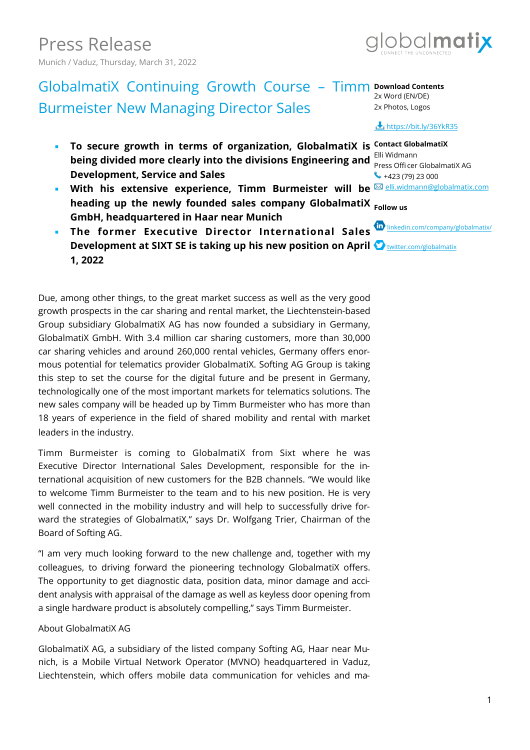

### GlobalmatiX Continuing Growth Course - Timm **Download Contents** Burmeister New Managing Director Sales 2x Word (EN/DE) 2x Photos, Logos

- **To secure growth in terms of organization, GlobalmatiX is Contact GlobalmatiX being divided more clearly into the divisions Engineering and Elli Widmann Development, Service and Sales**
- With his extensive experience, Timm Burmeister will be **<b>M**[elli.widmann@globalmatix.com](mailto:elli.widmann@globalmatix.com)</u> **heading up the newly founded sales company GlobalmatiX Follow us GmbH, headquartered in Haar near Munich**
- **The former Executive Director International Sales W** [linkedin.com/company/globalmatix/](https://linkedin.com/company/globalmatix/) **Development at SIXT SE is taking up his new position on April**  $\bullet$  **witter.com/globalmatix 1, 2022**

Due, among other things, to the great market success as well as the very good growth prospects in the car sharing and rental market, the Liechtenstein-based Group subsidiary GlobalmatiX AG has now founded a subsidiary in Germany, GlobalmatiX GmbH. With 3.4 million car sharing customers, more than 30,000 car sharing vehicles and around 260,000 rental vehicles, Germany offers enormous potential for telematics provider GlobalmatiX. Softing AG Group is taking this step to set the course for the digital future and be present in Germany, technologically one of the most important markets for telematics solutions. The new sales company will be headed up by Timm Burmeister who has more than 18 years of experience in the field of shared mobility and rental with market leaders in the industry.

Timm Burmeister is coming to GlobalmatiX from Sixt where he was Executive Director International Sales Development, responsible for the international acquisition of new customers for the B2B channels. "We would like to welcome Timm Burmeister to the team and to his new position. He is very well connected in the mobility industry and will help to successfully drive forward the strategies of GlobalmatiX," says Dr. Wolfgang Trier, Chairman of the Board of Softing AG.

"I am very much looking forward to the new challenge and, together with my colleagues, to driving forward the pioneering technology GlobalmatiX offers. The opportunity to get diagnostic data, position data, minor damage and accident analysis with appraisal of the damage as well as keyless door opening from a single hardware product is absolutely compelling," says Timm Burmeister.

## About GlobalmatiX AG

GlobalmatiX AG, a subsidiary of the listed company Softing AG, Haar near Munich, is a Mobile Virtual Network Operator (MVNO) headquartered in Vaduz, Liechtenstein, which offers mobile data communication for vehicles and ma-

## **https://bit.ly/36YkR35**

Press Officer GlobalmatiX AG  $\leftrightarrow$  +423 (79) 23 000